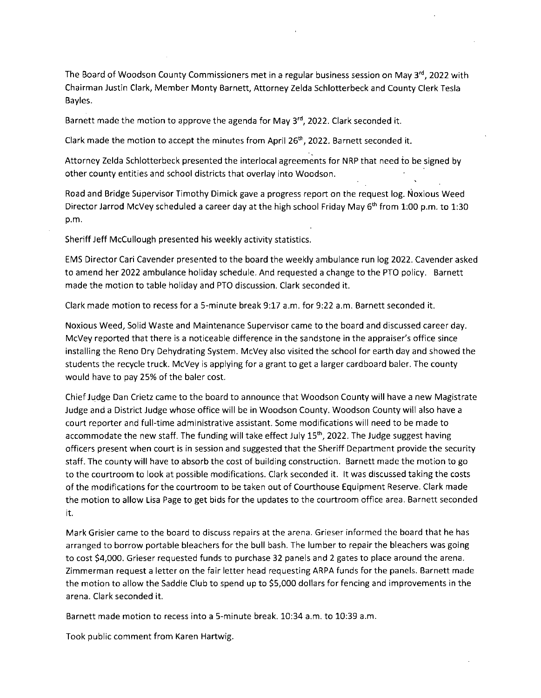The Board of Woodson County Commissioners met in a regular business session on May  $3<sup>rd</sup>$ , 2022 with Chairman Justin Clark, Member Monty Barnett, Attorney Zelda Schlotterbeck and County Clerk Tesla Bayles.

Barnett made the motion to approve the agenda for May  $3<sup>rd</sup>$ , 2022. Clark seconded it.

Clark made the motion to accept the minutes from April 26<sup>th</sup>, 2022. Barnett seconded it.

Attorney Zelda Schlotterbeck presented the interlocal agreements for NRP that need to be signed by other county entities and school districts that overlay into Woodson.

Road and Bridge Supervisor Timothy Dimick gave a progress report on the request log. Noxious Weed Director Jarrod McVey scheduled a career day at the high school Friday May 6<sup>th</sup> from 1:00 p.m. to 1:30 p.m.

Sheriff Jeff McCullough presented his weekly activity statistics.

EMS Director Cari Cavender presented to the board the weekly ambulance run log 2022. Cavender asked to amend her 2022 ambulance holiday schedule. And requested a change to the PTO policy. Barnett made the motion to table holiday and PTO discussion. Clark seconded it.

Clark made motion to recess for a 5-minute break 9:17 a.m. for 9:22 a.m. Barnett seconded it.

Noxious Weed, Solid Waste and Maintenance Supervisor came to the board and discussed career day. McVey reported that there is a noticeable difference in the sandstone in the appraiser's office since installing the Reno Dry Dehydrating System. McVey also visited the school for earth day and showed the students the recycle truck. McVey is applying for a grant to get a larger cardboard baler. The county would have to pay 25% of the baler cost.

Chief Judge Dan Crietz came to the board to announce that Woodson County will have a new Magistrate Judge and a District Judge whose office will be in Woodson County. Woodson County will also have a court reporter and full-time administrative assistant. Some modifications will need to be made to accommodate the new staff. The funding will take effect July 15<sup>th</sup>, 2022. The Judge suggest having officers present when court is in session and suggested that the Sheriff Department provide the security staff. The county will have to absorb the cost of building construction. Barnett made the motion to go to the courtroom to look at possible modifications. Clark seconded it. It was discussed taking the costs of the modifications for the courtroom to be taken out of Courthouse Equipment Reserve. Clark made the motion to allow Lisa Page to get bids for the updates to the courtroom office area. Barnett seconded it.

Mark Grisier came to the board to discuss repairs at the arena. Grieser informed the board that he has arranged to borrow portable bleachers for the bull bash. The lumber to repair the bleachers was going to cost \$4,000. Grieser requested funds to purchase 32 panels and 2 gates to place around the arena. Zimmerman request a letter on the fair letter head requesting ARPA funds for the panels. Barnett made the motion to allow the Saddle Club to spend up to \$5,000 dollars for fencing and improvements in the arena. Clark seconded it.

Barnett made motion to recess into a 5-minute break. 10:34 a.m. to 10:39 a.m.

Took public comment from Karen Hartwig.